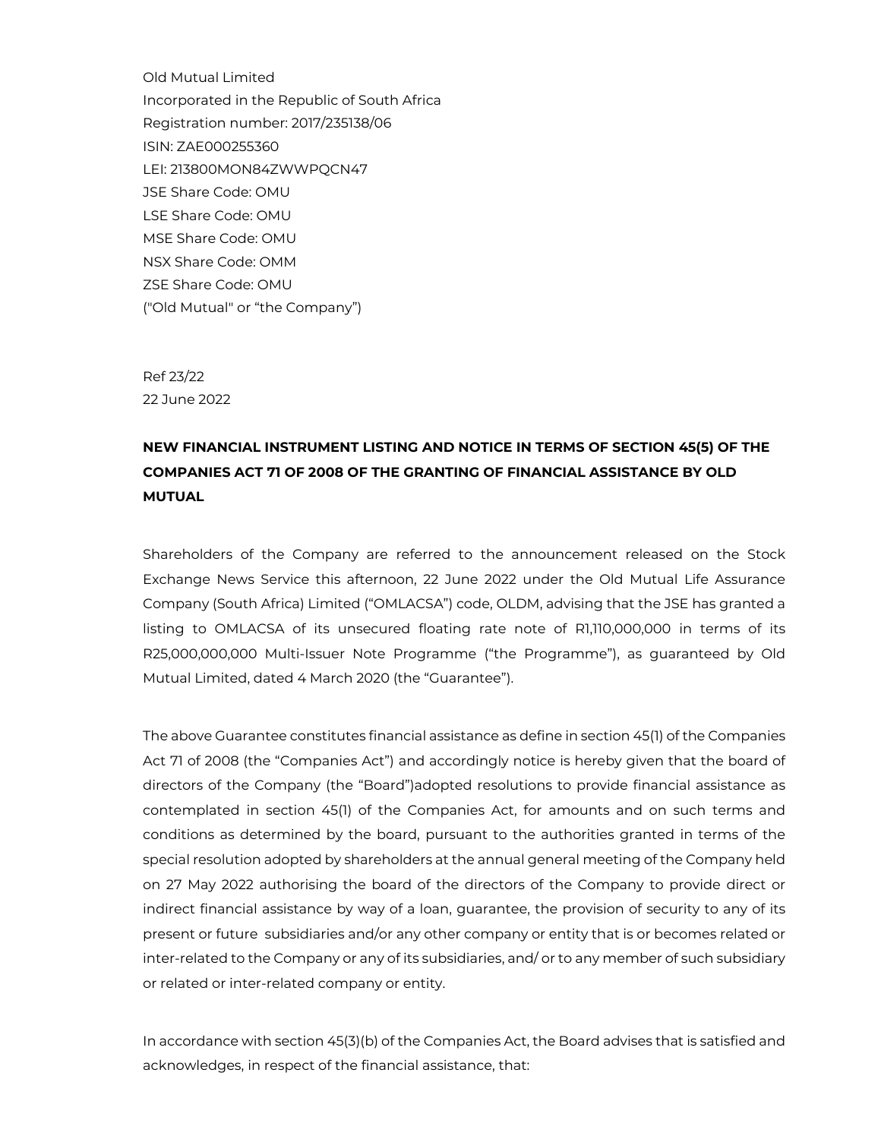Old Mutual Limited Incorporated in the Republic of South Africa Registration number: 2017/235138/06 ISIN: ZAE000255360 LEI: 213800MON84ZWWPQCN47 JSE Share Code: OMU LSE Share Code: OMU MSE Share Code: OMU NSX Share Code: OMM ZSE Share Code: OMU ("Old Mutual" or "the Company")

Ref 23/22 22 June 2022

# **NEW FINANCIAL INSTRUMENT LISTING AND NOTICE IN TERMS OF SECTION 45(5) OF THE COMPANIES ACT 71 OF 2008 OF THE GRANTING OF FINANCIAL ASSISTANCE BY OLD MUTUAL**

Shareholders of the Company are referred to the announcement released on the Stock Exchange News Service this afternoon, 22 June 2022 under the Old Mutual Life Assurance Company (South Africa) Limited ("OMLACSA") code, OLDM, advising that the JSE has granted a listing to OMLACSA of its unsecured floating rate note of R1,110,000,000 in terms of its R25,000,000,000 Multi-Issuer Note Programme ("the Programme"), as guaranteed by Old Mutual Limited, dated 4 March 2020 (the "Guarantee").

The above Guarantee constitutes financial assistance as define in section 45(1) of the Companies Act 71 of 2008 (the "Companies Act") and accordingly notice is hereby given that the board of directors of the Company (the "Board")adopted resolutions to provide financial assistance as contemplated in section 45(1) of the Companies Act, for amounts and on such terms and conditions as determined by the board, pursuant to the authorities granted in terms of the special resolution adopted by shareholders at the annual general meeting of the Company held on 27 May 2022 authorising the board of the directors of the Company to provide direct or indirect financial assistance by way of a loan, guarantee, the provision of security to any of its present or future subsidiaries and/or any other company or entity that is or becomes related or inter-related to the Company or any of its subsidiaries, and/ or to any member of such subsidiary or related or inter-related company or entity.

In accordance with section 45(3)(b) of the Companies Act, the Board advises that is satisfied and acknowledges, in respect of the financial assistance, that: